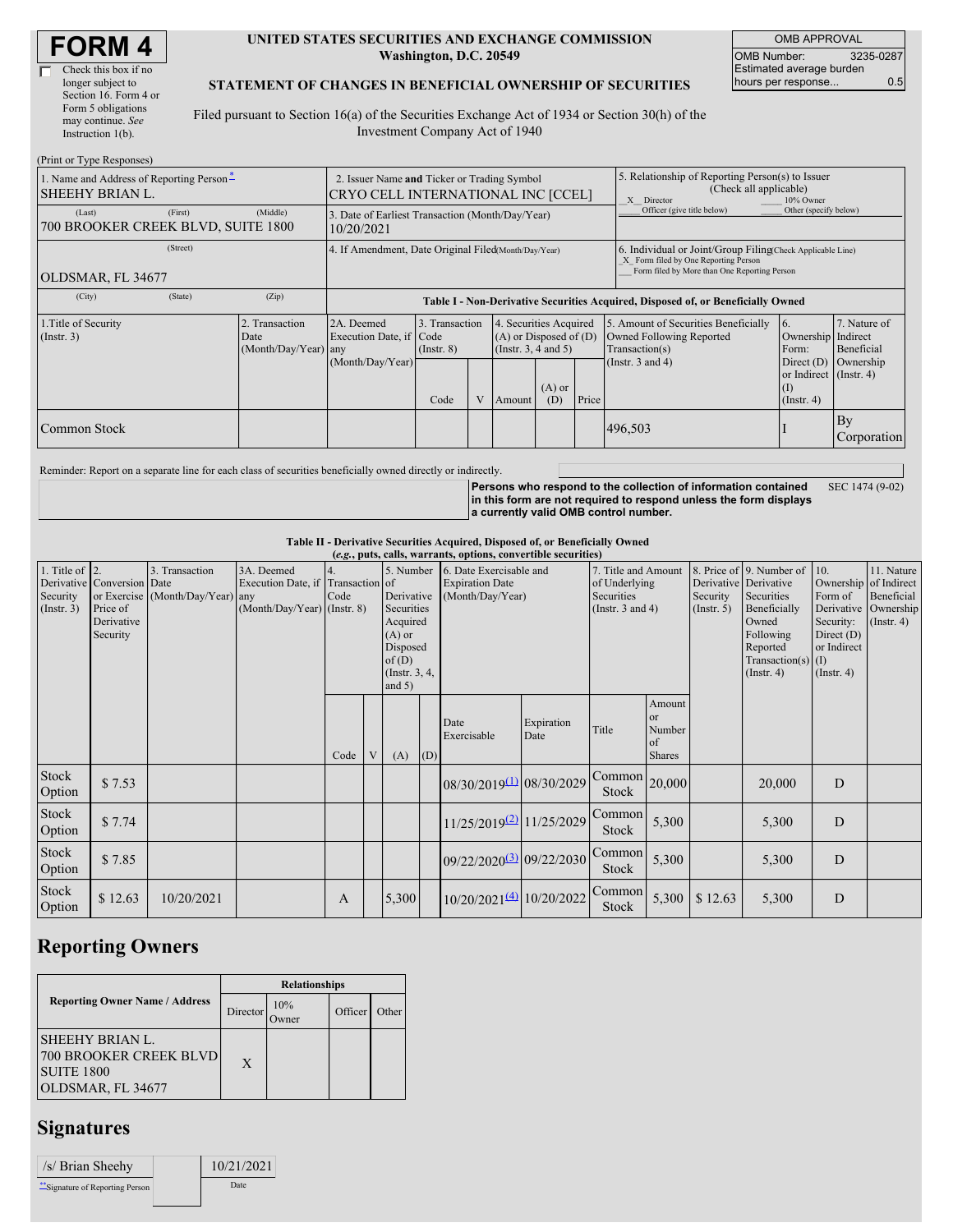#### **UNITED STATES SECURITIES AND EXCHANGE COMMISSION Washington, D.C. 20549**

OMB APPROVAL OMB Number: 3235-0287 Estimated average burden hours per response... 0.5

### **STATEMENT OF CHANGES IN BENEFICIAL OWNERSHIP OF SECURITIES**

Filed pursuant to Section 16(a) of the Securities Exchange Act of 1934 or Section 30(h) of the Investment Company Act of 1940

| (Print or Type Responses)                                   |                                                                                   |                                                                                  |                                   |   |        |                                                                                                                                                                                                                           |                                                                                                                                                    |                       |                                                                         |                   |
|-------------------------------------------------------------|-----------------------------------------------------------------------------------|----------------------------------------------------------------------------------|-----------------------------------|---|--------|---------------------------------------------------------------------------------------------------------------------------------------------------------------------------------------------------------------------------|----------------------------------------------------------------------------------------------------------------------------------------------------|-----------------------|-------------------------------------------------------------------------|-------------------|
| 1. Name and Address of Reporting Person-<br>SHEEHY BRIAN L. | 2. Issuer Name and Ticker or Trading Symbol<br>CRYO CELL INTERNATIONAL INC [CCEL] |                                                                                  |                                   |   |        |                                                                                                                                                                                                                           | Relationship of Reporting Person(s) to Issuer<br>(Check all applicable)<br>X Director<br>10% Owner                                                 |                       |                                                                         |                   |
| (Last)<br>(First)<br>700 BROOKER CREEK BLVD, SUITE 1800     | 3. Date of Earliest Transaction (Month/Day/Year)<br>10/20/2021                    |                                                                                  |                                   |   |        |                                                                                                                                                                                                                           | Officer (give title below)                                                                                                                         | Other (specify below) |                                                                         |                   |
| (Street)<br>OLDSMAR, FL 34677                               | 4. If Amendment, Date Original Filed(Month/Day/Year)                              |                                                                                  |                                   |   |        |                                                                                                                                                                                                                           | 6. Individual or Joint/Group Filing(Check Applicable Line)<br>X Form filed by One Reporting Person<br>Form filed by More than One Reporting Person |                       |                                                                         |                   |
| (State)<br>(City)                                           | (Zip)                                                                             | Table I - Non-Derivative Securities Acquired, Disposed of, or Beneficially Owned |                                   |   |        |                                                                                                                                                                                                                           |                                                                                                                                                    |                       |                                                                         |                   |
| 1. Title of Security<br>(Insert. 3)                         | 2. Transaction<br>Date<br>(Month/Day/Year) any                                    | 2A. Deemed<br>Execution Date, if Code                                            | 3. Transaction<br>$($ Instr. $8)$ |   |        | 4. Securities Acquired<br>5. Amount of Securities Beneficially<br>6.<br>$(A)$ or Disposed of $(D)$<br>Owned Following Reported<br>Ownership Indirect<br>(Instr. $3, 4$ and $5$ )<br>Transaction(s)<br>Beneficial<br>Form: |                                                                                                                                                    |                       | 7. Nature of                                                            |                   |
|                                                             |                                                                                   | (Month/Day/Year)                                                                 | Code                              | V | Amount | $(A)$ or<br>(D)                                                                                                                                                                                                           | Price                                                                                                                                              | (Instr. $3$ and $4$ ) | Direct $(D)$<br>or Indirect (Instr. 4)<br>$\rm (I)$<br>$($ Instr. 4 $)$ | Ownership         |
| <b>Common Stock</b>                                         |                                                                                   |                                                                                  |                                   |   |        |                                                                                                                                                                                                                           |                                                                                                                                                    | 496,503               |                                                                         | By<br>Corporation |

Reminder: Report on a separate line for each class of securities beneficially owned directly or indirectly.

**Persons who respond to the collection of information contained in this form are not required to respond unless the form displays a currently valid OMB control number.** SEC 1474 (9-02)

**Table II - Derivative Securities Acquired, Disposed of, or Beneficially Owned**

|                                                   | (e.g., puts, calls, warrants, options, convertible securities)   |                                                    |                                                                                |            |  |                                                                                                    |     |                                            |                                   |                                         |                                                                             |         |                                                                                                                                                               |                                                                                                                                 |                                         |
|---------------------------------------------------|------------------------------------------------------------------|----------------------------------------------------|--------------------------------------------------------------------------------|------------|--|----------------------------------------------------------------------------------------------------|-----|--------------------------------------------|-----------------------------------|-----------------------------------------|-----------------------------------------------------------------------------|---------|---------------------------------------------------------------------------------------------------------------------------------------------------------------|---------------------------------------------------------------------------------------------------------------------------------|-----------------------------------------|
| 1. Title of $\vert$ 2.<br>Security<br>(Insert. 3) | Derivative Conversion Date<br>Price of<br>Derivative<br>Security | 3. Transaction<br>or Exercise (Month/Day/Year) any | 3A. Deemed<br>Execution Date, if Transaction of<br>(Month/Day/Year) (Instr. 8) | 4.<br>Code |  | Derivative<br>Securities<br>Acquired<br>$(A)$ or<br>Disposed<br>of(D)<br>(Instr. 3, 4,<br>and $5)$ |     | <b>Expiration Date</b><br>(Month/Day/Year) | 5. Number 6. Date Exercisable and |                                         | 7. Title and Amount<br>of Underlying<br>Securities<br>(Instr. $3$ and $4$ ) |         | 8. Price of 9. Number of<br>Derivative Derivative<br>Securities<br>Beneficially<br>Owned<br>Following<br>Reported<br>Transaction(s) $(I)$<br>$($ Instr. 4 $)$ | 10.<br>Ownership of Indirect<br>Form of<br>Derivative Ownership<br>Security:<br>Direct $(D)$<br>or Indirect<br>$($ Instr. 4 $)$ | 11. Nature<br>Beneficial<br>(Insert. 4) |
|                                                   |                                                                  |                                                    |                                                                                | Code       |  | (A)                                                                                                | (D) | Date<br>Exercisable                        | Expiration<br>Date                | Title                                   | Amount<br><b>or</b><br>Number<br>of<br><b>Shares</b>                        |         |                                                                                                                                                               |                                                                                                                                 |                                         |
| Stock<br>Option                                   | \$7.53                                                           |                                                    |                                                                                |            |  |                                                                                                    |     | 08/30/2019(1) 08/30/2029                   |                                   | $\boxed{\text{Common}}$ 20,000<br>Stock |                                                                             |         | 20,000                                                                                                                                                        | $\overline{D}$                                                                                                                  |                                         |
| <b>Stock</b><br>Option                            | \$7.74                                                           |                                                    |                                                                                |            |  |                                                                                                    |     | 11/25/2019 <sup>(2)</sup> 11/25/2029       |                                   | Common<br>Stock                         | 5,300                                                                       |         | 5,300                                                                                                                                                         | D                                                                                                                               |                                         |
| <b>Stock</b><br>Option                            | \$7.85                                                           |                                                    |                                                                                |            |  |                                                                                                    |     | 09/22/2020 <sup>(3)</sup> 09/22/2030       |                                   | Common<br>Stock                         | 5,300                                                                       |         | 5,300                                                                                                                                                         | D                                                                                                                               |                                         |
| <b>Stock</b><br>Option                            | \$12.63                                                          | 10/20/2021                                         |                                                                                | A          |  | 5,300                                                                                              |     | $10/20/2021^{(4)}$ 10/20/2022              |                                   | Common<br>Stock                         | 5,300                                                                       | \$12.63 | 5,300                                                                                                                                                         | D                                                                                                                               |                                         |
|                                                   |                                                                  |                                                    |                                                                                |            |  |                                                                                                    |     |                                            |                                   |                                         |                                                                             |         |                                                                                                                                                               |                                                                                                                                 |                                         |

# **Reporting Owners**

|                                                                                                   |          | <b>Relationships</b> |         |       |  |  |
|---------------------------------------------------------------------------------------------------|----------|----------------------|---------|-------|--|--|
| <b>Reporting Owner Name / Address</b>                                                             | Director | 10%<br>Owner         | Officer | Other |  |  |
| <b>SHEEHY BRIAN L.</b><br><b>700 BROOKER CREEK BLVD</b><br><b>SUITE 1800</b><br>OLDSMAR, FL 34677 | X        |                      |         |       |  |  |

# **Signatures**

| /s/ Brian Sheehy              | 10/21/2021  |
|-------------------------------|-------------|
| Signature of Reporting Person | <b>Date</b> |